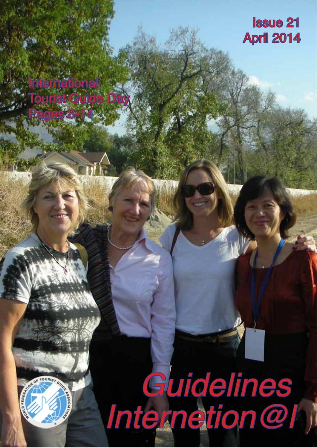### Issue 21 April 2014

## International Tourist Guide Day

Pages 8-14



# *Guidelines Internetion@l*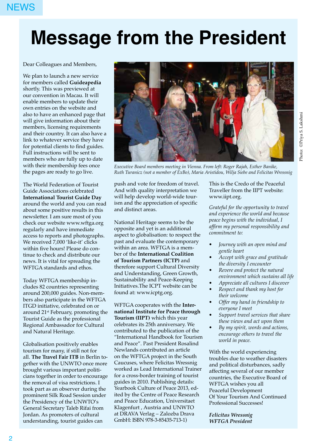### NEWS

# **Message from the President**

Dear Colleagues and Members,

We plan to launch a new service for members called **Guideapedia** shortly. This was previewed at our convention in Macau. It will enable members to update their own entries on the website and also to have an enhanced page that will give information about their members, licensing requirements and their country. It can also have a link to whatever service they have for potential clients to find guides. Full instructions will be sent to members who are fully up to date with their membership fees once the pages are ready to go live.

The World Federation of Tourist Guide Associations celebrated **International Tourist Guide Day** around the world and you can read about some positive results in this newsletter. I am sure most of you check our website www.wftga.org regularly and have immediate access to reports and photographs. We received 7,000 'like-it' clicks within five hours! Please do continue to check and distribute our news. It is vital for spreading the WFTGA standards and ethos.

Today WFTGA membership includes 82 countries representing around 200,000 guides. Non-members also participate in the WFTGA ITGD initiative, celebrated on or around 21st February, promoting the Tourist Guide as the professional Regional Ambassador for Cultural and Natural Heritage.

Globalisation positively enables tourism for many, if still not for all. **The Travel Fair ITB** in Berlin together with the UNWTO once more brought various important politicians together in order to encourage the removal of visa restrictions. I took part as an observer during the prominent Silk Road Session under the Presidency of the UNWTO's General Secretary Taleb Rifai from Jordan. As promoters of cultural understanding, tourist guides can



*Executive Board members meeting in Vienna. From left: Roger Rajah, Esther Banike, Ruth Turanicz (not a member of ExBo), Maria Aristidou, Wilja Siebe and Felicitas Wressnig*

push and vote for freedom of travel. And with quality interpretation we will help develop world-wide tourism and the appreciation of specific and distinct areas.

National Heritage seems to be the opposite and yet is an additional aspect to globalisation: to respect the past and evaluate the contemporary within an area. WFTGA is a member of the **International Coalition of Tourism Partners (ICTP)** and therefore support Cultural Diversity and Understanding, Green Growth, Sustainability and Peace-Keeping Initiatives.The ICPT website can be found at: www.icptg.org.

WFTGA cooperates with the **International Institute for Peace through Tourism (IIPT)** which this year celebrates its 25th anniversary. We contributed to the publication of the "International Handbook for Tourism and Peace". Past President Rosalind Newlands contributed an article on the WFTGA project in the South Caucuses, where Felicitas Wressnig worked as Lead International Trainer for a cross-border training of tourist guides in 2010. Publishing details: Yearbook Culture of Peace 2013, edited by the Centre of Peace Research and Peace Education, Universitaet Klagenfurt , Austria and UNWTO at DRAVA Verlag – Zalozba Drava GmbH: ISBN 978-3-85435-713-1)

This is the Credo of the Peaceful Traveller from the IIPT website: www.iipt.org.

*Grateful for the opportunity to travel and experience the world and because peace begins with the individual, I affirm my personal responsibility and commitment to:* 

- *• Journey with an open mind and gentle heart*
- *• Accept with grace and gratitude the diversity I encounter*
- *• Revere and protect the natural environment which sustains all life*
- *• Appreciate all cultures I discover*
- *• Respect and thank my host for their welcome*
- *• Offer my hand in friendship to everyone I meet*
- *• Support travel services that share these views and act upon them*
- *• By my spirit, words and actions, encourage others to travel the world in peace.*

With the world experiencing troubles due to weather disasters and political disturbances, sadly affecting several of our member countries, the Executive Board of WFTGA wishes you all Peaceful Development Of Your Tourism And Continued Professional Successes!

*Felicitas Wressnig WFTGA President*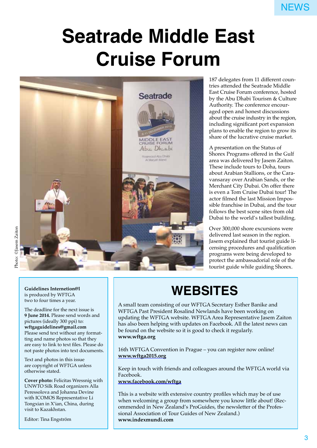# **Seatrade Middle East Cruise Forum**



187 delegates from 11 different countries attended the Seatrade Middle East Cruise Forum conference, hosted by the Abu Dhabi Tourism & Culture Authority. The conference encouraged open and honest discussions about the cruise industry in the region, including significant port expansion plans to enable the region to grow its share of the lucrative cruise market.

A presentation on the Status of Shorex Programs offered in the Gulf area was delivered by Jasem Zaiton. These include tours to Doha, tours about Arabian Stallions, or the Caravansaray over Arabian Sands, or the Merchant City Dubai. On offer there is even a Tom Cruise Dubai tour! The actor filmed the last Mission Impossible franchise in Dubai, and the tour follows the best scene sites from old Dubai to the world's tallest building.

Over 300,000 shore excursions were delivered last season in the region. Jasem explained that tourist guide licensing procedures and qualification programs were being developed to protect the ambassadorial role of the tourist guide while guiding Shorex.

#### **Guidelines Internetion@l** is produced by WFTGA two to four times a year.

The deadline for the next issue is **9 June 2014.** Please send words and pictures (ideally 300 ppi) to: **wftgaguidelines@gmail.com** Please send text without any formatting and name photos so that they are easy to link to text files. Please do not paste photos into text documents.

Text and photos in this issue are copyright of WFTGA unless otherwise stated.

**Cover photo:** Felicitas Wressnig with UNWTO Silk Road organizers Alla Peressolova and Johanna Devine with ICOMOS Representative Li Tongxian in X'ian, China, during visit to Kazakhstan.

Editor: Tina Engström

### **WEBSITES**

A small team consisting of our WFTGA Secretary Esther Banike and WFTGA Past President Rosalind Newlands have been working on updating the WFTGA website. WFTGA Area Representative Jasem Zaiton has also been helping with updates on Facebook. All the latest news can be found on the website so it is good to check it regularly. **www.wftga.org**

16th WFTGA Convention in Prague – you can register now online! **www.wftga2015.org**

Keep in touch with friends and colleagues around the WFTGA world via Facebook.

**www.facebook.com/wftga**

This is a website with extensive country profiles which may be of use when welcoming a group from somewhere you know little about! (Recommended in New Zealand's ProGuides, the newsletter of the Professional Association of Tour Guides of New Zealand.) **www.indexmundi.com**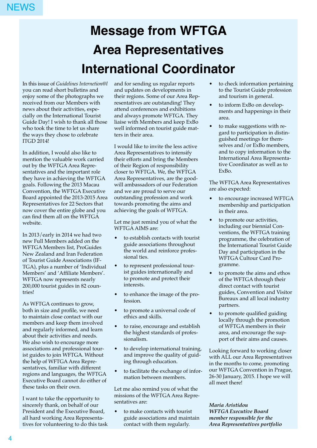# **Message from WFTGA Area Representatives International Coordinator**

In this issue of *Guidelines Internetion@l* you can read short bulletins and enjoy some of the photographs we received from our Members with news about their activities, especially on the International Tourist Guide Day! I wish to thank all those who took the time to let us share the ways they chose to celebrate ITGD 2014!

In addition, I would also like to mention the valuable work carried out by the WFTGA Area Representatives and the important role they have in achieving the WFTGA goals. Following the 2013 Macau Convention, the WFTGA Executive Board appointed the 2013-2015 Area Representatives for 22 Sectors that now cover the entire globe and you can find them all on the WFTGA website.

In 2013/early in 2014 we had two new Full Members added on the WFTGA Members list, ProGuides New Zealand and Iran Federation of Tourist Guide Associations (IF-TGA), plus a number of 'Individual Members' and 'Affiliate Members'. WFTGA now represents nearly 200,000 tourist guides in 82 countries!

As WFTGA continues to grow, both in size and profile, we need to maintain close contact with our members and keep them involved and regularly informed, and learn about their activities and needs. We also wish to encourage more associations and professional tourist guides to join WFTGA. Without the help of WFTGA Area Representatives, familiar with different regions and languages, the WFTGA Executive Board cannot do either of these tasks on their own.

I want to take the opportunity to sincerely thank, on behalf of our President and the Executive Board, all hard working Area Representatives for volunteering to do this task and for sending us regular reports and updates on developments in their regions. Some of our Area Representatives are outstanding! They attend conferences and exhibitions and always promote WFTGA. They liaise with Members and keep ExBo well informed on tourist guide matters in their area.

I would like to invite the less active Area Representatives to intensify their efforts and bring the Members of their Region of responsibility closer to WFTGA. We, the WFTGA Area Representatives, are the goodwill ambassadors of our Federation and we are proud to serve our outstanding profession and work towards promoting the aims and achieving the goals of WFTGA.

Let me just remind you of what the WFTGA AIMS are:

- to establish contacts with tourist guide associations throughout the world and reinforce professional ties.
- to represent professional tourist guides internationally and to promote and protect their interests.
- to enhance the image of the profession.
- to promote a universal code of ethics and skills.
- to raise, encourage and establish the highest standards of professionalism.
- to develop international training, and improve the quality of guiding through education.
- to facilitate the exchange of information between members.

Let me also remind you of what the missions of the WFTGA Area Representatives are:

to make contacts with tourist guide associations and maintain contact with them regularly.

- to check information pertaining to the Tourist Guide profession and tourism in general.
- to inform ExBo on developments and happenings in their area.
- to make suggestions with regard to participation in distinguished meetings for themselves and/or ExBo members, and to copy information to the International Area Representative Coordinator as well as to ExBo.

The WFTGA Area Representatives are also expected:

- to encourage increased WFTGA membership and participation in their area.
- to promote our activities, including our biennial Conventions, the WFTGA training programme, the celebration of the International Tourist Guide Day and participation in the WFTGA Cultour Card Programme.
- to promote the aims and ethos of the WFTGA through their direct contact with tourist guides, Convention and Visitor Bureaux and all local industry partners.
- to promote qualified guiding locally through the promotion of WFTGA members in their area, and encourage the support of their aims and causes.

Looking forward to working closer with ALL our Area Representatives in the months to come, promoting our WFTGA Convention in Prague, 26-30 January, 2015. I hope we will all meet there!

#### *Maria Aristidou WFTGA Executive Board member responsible for the Area Representatives portfolio*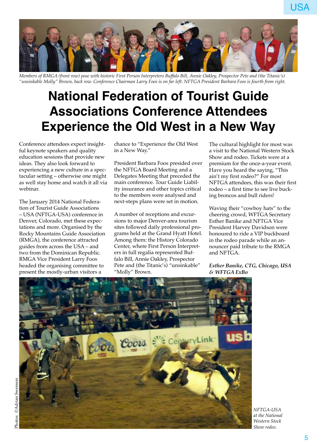

*Members of RMGA (front row) pose with historic First Person Interpreters Buffalo Bill, Annie Oakley, Prospector Pete and (the Titanic's) "unsinkable Molly" Brown, back row. Conference Chairman Larry Foos is on far left. NFTGA President Barbara Foos is fourth from right.*

### **National Federation of Tourist Guide Associations Conference Attendees Experience the Old West in a New Way**

Conference attendees expect insightful keynote speakers and quality education sessions that provide new ideas. They also look forward to experiencing a new culture in a spectacular setting – otherwise one might as well stay home and watch it all via webinar.

The January 2014 National Federation of Tourist Guide Associations – USA (NFTGA-USA) conference in Denver, Colorado, met these expectations and more. Organised by the Rocky Mountains Guide Association (RMGA), the conference attracted guides from across the USA – and two from the Dominican Republic. RMGA Vice President Larry Foos headed the organising committee to present the mostly-urban visitors a

chance to "Experience the Old West in a New Way."

President Barbara Foos presided over the NFTGA Board Meeting and a Delegates Meeting that preceded the main conference. Tour Guide Liability insurance and other topics critical to the members were analysed and next-steps plans were set in motion.

A number of receptions and excursions to major Denver-area tourism sites followed daily professional programs held at the Grand Hyatt Hotel. Among them: the History Colorado Center, where First Person Interpreters in full regalia represented Buffalo Bill, Annie Oakley, Prospector Pete and (the Titanic's) "unsinkable" "Molly" Brown.

The cultural highlight for most was a visit to the National Western Stock Show and rodeo. Tickets were at a premium for the once-a-year event. Have you heard the saying, "This ain't my first rodeo?" For most NFTGA attendees, this was their first rodeo – a first time to see live bucking broncos and bull riders!

USA

Waving their "cowboy hats" to the cheering crowd, WFTGA Secretary Esther Banike and NFTGA Vice President Harvey Davidson were honoured to ride a VIP buckboard in the rodeo parade while an announcer paid tribute to the RMGA and NFTGA.

*Esther Banike, CTG, Chicago, USA & WFTGA ExBo*

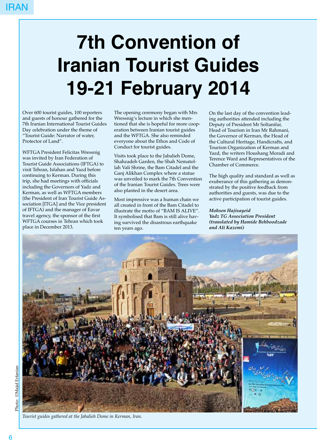# **7th Convention of Iranian Tourist Guides 19-21 February 2014**

Over 600 tourist guides, 100 reporters and guests of honour gathered for the 7th Iranian International Tourist Guides Day celebration under the theme of "Tourist Guide: Narrator of water, Protector of Land".

WFTGA President Felicitas Wressnig was invited by Iran Federation of Tourist Guide Associations (IFTGA) to visit Tehran, Isfahan and Yazd before continuing to Kerman. During this trip, she had meetings with officials including the Governors of Yadz and Kerman, as well as WFTGA members (the President of Iran Tourist Guide Association [ITGA] and the Vice president of IFTGA) and the manager of Eavar travel agency, the sponsor of the first WFTGA courses in Tehran which took place in December 2013.

The opening ceremony began with Mrs Wressnig's lecture in which she mentioned that she is hopeful for more cooperation between Iranian tourist guides and the WFTGA. She also reminded everyone about the Ethos and Code of Conduct for tourist guides.

Visits took place to the Jabalieh Dome, Shahzadeh Garden, the Shah Nematollah Vali Shrine, the Bam Citadel and the Ganj Alikhan Complex where a statue was unveiled to mark the 7th Convention of the Iranian Tourist Guides. Trees were also planted in the desert area.

Most impressive was a human chain we all created in front of the Bam Citadel to illustrate the motto of "BAM IS ALIVE". It symbolised that Bam is still alive having survived the disastrous earthquake ten years ago.

On the last day of the convention leading authorities attended including the Deputy of President Mr Soltanifar, Head of Tourism in Iran Mr Rahmani, the Governor of Kerman, the Head of the Cultural Heritage, Handicrafts, and Tourism Organization of Kerman and Yazd, the writers Houshang Moradi and Terence Ward and Representatives of the Chamber of Commerce.

The high quality and standard as well as exuberance of this gathering as demonstrated by the positive feedback from authorities and guests, was due to the active participation of tourist guides.

*Mohsen Hajisayeid Yadz TG Association President (translated by Hamide Behboodzade and Ali Kazemi)*



*Tourist guides gathered at the Jabalieh Dome in Kerman, Iran.*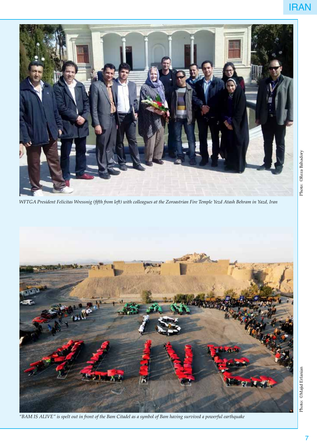

*WFTGA President Felicitas Wressnig (fifth from left) with colleagues at the Zoroastrian Fire Temple Yezd Atash Behram in Yazd, Iran*



*"BAM IS ALIVE" is spelt out in front of the Bam Citadel as a symbol of Bam having survived a powerful earthquake*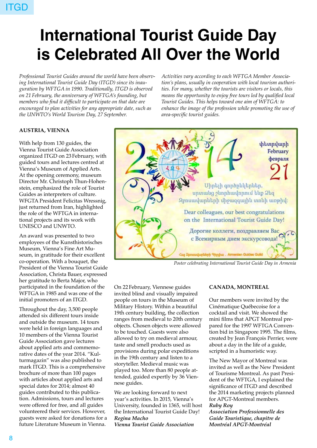# **International Tourist Guide Day is Celebrated All Over the World**

*Professional Tourist Guides around the world have been observing International Tourist Guide Day (ITGD) since its inauguration by WFTGA in 1990. Traditionally, ITGD is observed on 21 February, the anniversary of WFTGA's founding, but members who find it difficult to participate on that date are encouraged to plan activities for any appropriate date, such as the UNWTO's World Tourism Day, 27 September.* 

*Activities vary according to each WFTGA Member Association's plans, usually in cooperation with local tourism authorities. For many, whether the tourists are visitors or locals, this means the opportunity to enjoy free tours led by qualified local Tourist Guides. This helps toward one aim of WFTGA: to enhance the image of the profession while promoting the use of area-specific tourist guides.*

#### **AUSTRIA, VIENNA**

With help from 130 guides, the Vienna Tourist Guide Association organized ITGD on 23 February, with guided tours and lectures centred at Vienna's Museum of Applied Arts. At the opening ceremony, museum Director Mr. Christoph Thun-Hohenstein, emphasized the role of Tourist Guides as interpreters of culture. WFGTA President Felicitas Wressnig, just returned from Iran, highlighted the role of the WFTGA in international projects and its work with UNESCO and UNWTO.

An award was presented to two employees of the Kunsthistorisches Museum, Vienna's Fine Art Museum, in gratitude for their excellent co-operation. With a bouquet, the President of the Vienna Tourist Guide Association, Christa Bauer, expressed her gratitude to Berta Major, who participated in the foundation of the WFTGA in 1985 and was one of the initial promoters of an ITGD.

Throughout the day, 3,500 people attended six different tours inside and outside the museum. 14 tours were held in foreign languages and 10 members of the Vienna Tourist Guide Association gave lectures about applied arts and commemorative dates of the year 2014. "Kulturmagazin" was also published to mark ITGD. This is a comprehensive brochure of more than 100 pages with articles about applied arts and special dates for 2014; almost 40 guides contributed to this publication. Admissions, tours and lectures were offered for free, and all guides volunteered their services. However, guests were asked for donations for a future Literature Museum in Vienna.



*Poster celebrating International Tourist Guide Day in Armenia*

On 22 February, Viennese guides invited blind and visually impaired people on tours in the Museum of Military History. Within a beautiful 19th century building, the collection ranges from medieval to 20th century objects. Chosen objects were allowed to be touched. Guests were also allowed to try on medieval armour, taste and smell products used as provisions during polar expeditions in the 19th century and listen to a storyteller. Medieval music was played too. More than 80 people attended, guided expertly by 36 Viennese guides.

We are looking forward to next year's activities. In 2015, Vienna's University, founded in 1365, will host the International Tourist Guide Day! *Regina Macho*

#### *Vienna Tourist Guide Association*

#### **CANADA, MONTREAL**

Our members were invited by the Cinématique Québecoise for a cocktail and visit. We showed the mini films that APGT Montreal prepared for the 1997 WFTGA Convention bid in Singapore 1995. The films, created by Jean François Perrier, were about a day in the life of a guide, scripted in a humoristic way.

The New Mayor of Montreal was invited as well as the New President of Tourisme Montreal. As past President of the WFTGA, I explained the significance of ITGD and described the 2014 marketing projects planned for APGT-Montreal members. *Ruby Roy*

*Association Professionnelle des Guide Touristique, chapitre de*

*Montréal APGT-Montréal*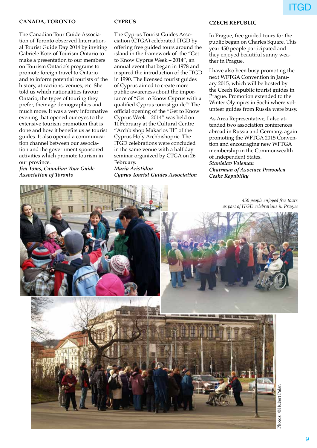#### **CANADA, TORONTO**

The Canadian Tour Guide Association of Toronto observed International Tourist Guide Day 2014 by inviting Gabriele Kotz of Tourism Ontario to make a presentation to our members on Tourism Ontario's programs to promote foreign travel to Ontario and to inform potential tourists of the history, attractions, venues, etc. She told us which nationalities favour Ontario, the types of touring they prefer, their age demographics and much more. It was a very informative evening that opened our eyes to the extensive tourism promotion that is done and how it benefits us as tourist guides. It also opened a communication channel between our association and the government sponsored activities which promote tourism in our province.

*Jim Toms, Canadian Tour Guide Association of Toronto*

#### **CYPRUS**

The Cyprus Tourist Guides Association (CTGA) celebrated ITGD by offering free guided tours around the island in the framework of the "Get to Know Cyprus Week – 2014", an annual event that began in 1978 and inspired the introduction of the ITGD in 1990. The licensed tourist guides of Cyprus aimed to create more public awareness about the importance of "Get to Know Cyprus with a qualified Cyprus tourist guide"! The official opening of the "Get to Know Cyprus Week – 2014" was held on 11 February at the Cultural Centre "Archbishop Makarios III" of the Cyprus Holy Archbishopric. The ITGD celebrations were concluded in the same venue with a half day seminar organized by CTGA on 26 February. *Maria Aristidou*

*Cyprus Tourist Guides Association*

#### **CZECH REPUBLIC**

In Prague, free guided tours for the public began on Charles Square. This year 450 people participated and they enjoyed beautiful sunny weather in Prague.

I have also been busy promoting the next WFTGA Convention in January 2015, which will be hosted by the Czech Republic tourist guides in Prague. Promotion extended to the Winter Olympics in Sochi where volunteer guides from Russia were busy.

As Area Representative, I also attended two association conferences abroad in Russia and Germany, again promoting the WFTGA 2015 Convention and encouraging new WFTGA membership in the Commonwealth of Independent States. *Stanislav Voleman Chairman of Asociace Pruvodcu Ceske Republiky*

*as part of ITGD celebrations in Prague*

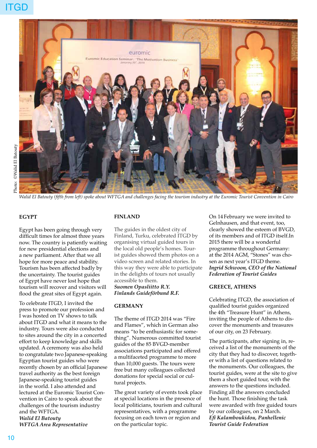

*Walid El Batouty (fifth from left) spoke about WFTGA and challenges facing the tourism industry at the Euromic Tourist Convention in Cairo*

#### **EGYPT**

Egypt has been going through very difficult times for almost three years now. The country is patiently waiting for new presidential elections and a new parliament. After that we all hope for more peace and stability. Tourism has been affected badly by the uncertainty. The tourist guides of Egypt have never lost hope that tourism will recover and visitors will flood the great sites of Egypt again.

To celebrate ITGD, I invited the press to promote our profession and I was hosted on TV shows to talk about ITGD and what it means to the industry. Tours were also conducted to sites around the city in a concerted effort to keep knowledge and skills updated. A ceremony was also held to congratulate two Japanese-speaking Egyptian tourist guides who were recently chosen by an official Japanese travel authority as the best foreign Japanese-speaking tourist guides in the world. I also attended and lectured at the Euromic Tourist Convention in Cairo to speak about the challenges of the tourism industry and the WFTGA. *Walid El Batouty WFTGA Area Representative*

#### **FINLAND**

The guides in the oldest city of Finland, Turku, celebrated ITGD by organising virtual guided tours in the local old people's homes. Tourist guides showed them photos on a video screen and related stories. In this way they were able to participate in the delights of tours not usually accessible to them.

#### *Suomen Opasliitto R.Y. Finlands Guideförbund R.F.*

#### **GERMANY**

The theme of ITGD 2014 was "Fire and Flames", which in German also means "to be enthusiastic for something". Numerous committed tourist guides of the 85 BVGD-member associations participated and offered a multifaceted programme to more than 10,000 guests. The tours were free but many colleagues collected donations for special social or cultural projects.

The great variety of events took place at special locations in the presence of local politicians, tourism and cultural representatives, with a programme focusing on each town or region and on the particular topic.

On 14 February we were invited to Gelnhausen, and that event, too, clearly showed the esteem of BVGD, of its members and of ITGD itself.In 2015 there will be a wonderful programme throughout Germany: at the 2014 AGM, "Stones" was chosen as next year's ITGD theme. *Ingrid Schwoon, CEO of the National Federation of Tourist Guides* 

#### **GREECE, ATHENS**

Celebrating ITGD, the association of qualified tourist guides organized the 4th "Treasure Hunt" in Athens, inviting the people of Athens to discover the monuments and treasures of our city, on 23 February.

The participants, after signing in, received a list of the monuments of the city that they had to discover, together with a list of questions related to the monuments. Our colleagues, the tourist guides, were at the site to give them a short guided tour, with the answers to the questions included. Finding all the answers concluded the hunt. Those finishing the task were awarded with free guided tours by our colleagues, on 2 March. *Efi Kalamboukidou, Panhellenic Tourist Guide Federation*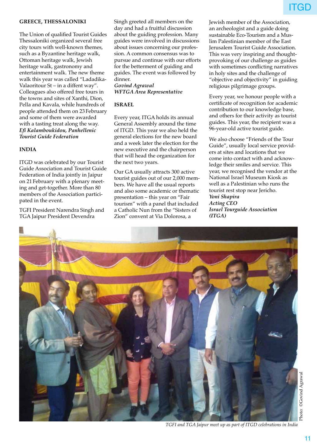#### **GREECE, THESSALONIKI**

The Union of qualified Tourist Guides Thessaloniki organized several free city tours with well-known themes, such as a Byzantine heritage walk, Ottoman heritage walk, Jewish heritage walk, gastronomy and entertainment walk. The new theme walk this year was called "Ladadika-Valaoritour St – in a diffent way". Colleagues also offered free tours in the towns and sites of Xanthi, Dion, Pella and Kavala, while hundreds of people attended them on 23 February and some of them were awarded with a tasting treat along the way. *Efi Kalamboukidou, Panhellenic Tourist Guide Federation*

#### **INDIA**

ITGD was celebrated by our Tourist Guide Association and Tourist Guide Federation of India jointly in Jaipur on 21 February with a plenary meeting and get-together. More than 80 members of the Association participated in the event.

TGFI President Narendra Singh and TGA Jaipur President Devendra

Singh greeted all members on the day and had a fruitful discussion about the guiding profession. Many guides were involved in discussions about issues concerning our profession. A common consensus was to pursue and continue with our efforts for the betterment of guiding and guides. The event was followed by dinner.

*Govind Agrawal WFTGA Area Representative*

#### **ISRAEL**

Every year, ITGA holds its annual General Assembly around the time of ITGD. This year we also held the general elections for the new board and a week later the election for the new executive and the chairperson that will head the organization for the next two years.

Our GA usually attracts 300 active tourist guides out of our 2,000 members. We have all the usual reports and also some academic or thematic presentation – this year on "Fair tourism" with a panel that included a Catholic Nun from the "Sisters of Zion" convent at Via Dolorosa, a

Jewish member of the Association, an archeologist and a guide doing sustainable Eco-Tourism and a Muslim Palestinian member of the East Jerusalem Tourist Guide Association. This was very inspiring and thoughtprovoking of our challenge as guides with sometimes conflicting narratives in holy sites and the challenge of "objective and objectivity" in guiding religious pilgrimage groups.

Every year, we honour people with a certificate of recognition for academic contribution to our knowledge base, and others for their activity as tourist guides. This year, the recipient was a 96-year-old active tourist guide.

We also choose "Friends of the Tour Guide", usually local service providers at sites and locations that we come into contact with and acknowledge their smiles and service. This year, we recognised the vendor at the National Israel Museum Kiosk as well as a Palestinian who runs the tourist rest stop near Jericho. *Yoni Shapira Acting CEO Israel Tourguide Association (ITGA)*



*TGFI and TGA Jaipur meet up as part of ITGD celebrations in India*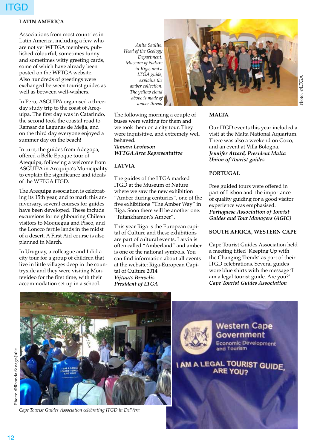#### **LATIN AMERICA**

Associations from most countries in Latin America, including a few who are not yet WFTGA members, published colourful, sometimes funny and sometimes witty greeting cards, some of which have already been posted on the WFTGA website. Also hundreds of greetings were exchanged between tourist guides as well as between well-wishers.

In Peru, ASGUIPA organised a threeday study trip to the coast of Arequipa. The first day was in Catarindo, the second took the coastal road to Ramsar de Lagunas de Mejia, and on the third day everyone enjoyed a summer day on the beach!

In turn, the guides from Adegopa, offered a Belle Epoque tour of Arequipa, following a welcome from ASGUIPA in Arequipa's Municipality to explain the significance and ideals of the WFTGA ITGD.

The Arequipa association is celebrating its 15th year, and to mark this anniversary, several courses for guides have been developed. These include excursions for neighbouring Chilean visitors to Moquegua and Pisco, and the Loncco fertile lands in the midst of a desert. A First Aid course is also planned in March.

In Uruguay, a colleague and I did a city tour for a group of children that live in little villages deep in the countryside and they were visiting Montevideo for the first time, with their accommodation set up in a school.

*Anita Saulite, Head of the Geology Department, Museum of Nature in Riga, and a LTGA guide, explains the amber collection. The yellow cloud above is made of amber thread* 

The following morning a couple of buses were waiting for them and we took them on a city tour. They were inquisitive, and extremely well behaved. *Tamara Levinson WFTGA Area Representative*

#### **LATVIA**

The guides of the LTGA marked ITGD at the Museum of Nature where we saw the new exhibition "Amber during centuries", one of the five exhibitions "The Amber Way" in Riga. Soon there will be another one: "Tutankhamon's Amber".

This year Riga is the European capital of Culture and these exhibitions are part of cultural events. Latvia is often called "Amberland" and amber is one of the national symbols. You can find information about all events at the website: Riga-European Capital of Culture 2014. *Vijtauts Bruvelis President of LTGA*



#### **MALTA**

Our ITGD events this year included a visit at the Malta National Aquarium. There was also a weekend on Gozo, and an event at Villa Bologna. *Jennifer Attard, President Malta Union of Tourist guides*

#### **PORTUGAL**

Free guided tours were offered in part of Lisbon and the importance of quality guiding for a good visitor experience was emphasised. *Portuguese Association of Tourist Guides and Tour Managers (AGIC)*

#### **SOUTH AFRICA, WESTERN CAPE**

Cape Tourist Guides Association held a meeting titled 'Keeping Up with the Changing Trends' as part of their ITGD celebrations. Several guides wore blue shirts with the message 'I am a legal tourist guide. Are you?' *Cape Tourist Guides Association*



*Cape Tourist Guides Association celebrating ITGD in DelVera*

**Western Cape Economic Development** and Tourism

**I AM A LEGAL TOURIST GUIDE.**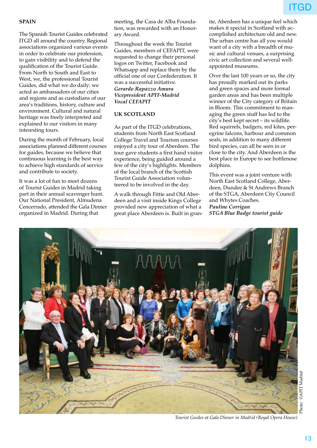#### **SPAIN**

The Spanish Tourist Guides celebrated ITGD all around the country. Regional associations organized various events in order to celebrate our profession, to gain visibility and to defend the qualification of the Tourist Guide. From North to South and East to West, we, the professional Tourist Guides, did what we do daily: we acted as ambassadors of our cities and regions and as custodians of our area's traditions, history, culture and environment. Cultural and natural heritage was freely interpreted and explained to our visitors in many interesting tours.

During the month of February, local associations planned different courses for guides, because we believe that continuous learning is the best way to achieve high standards of service and contribute to society.

It was a lot of fun to meet dozens of Tourist Guides in Madrid taking part in their annual scavenger hunt. Our National President, Almudena Cencerrado, attended the Gala Dinner organized in Madrid. During that

meeting, the Casa de Alba Foundation, was rewarded with an Honorary Award.

Throughout the week the Tourist Guides, members of CEFAPIT, were requested to change their personal logos on Twitter, Facebook and Whatsapp and replace them by the official one of our Confederation. It was a successful initiative. *Gerardo Rapazzo Amura Vicepresident APIT-Madrid Vocal CEFAPIT*

#### **UK SCOTLAND**

As part of the ITGD celebrations, students from North East Scotland College Travel and Tourism courses enjoyed a city tour of Aberdeen. The tour gave students a first hand visitor experience, being guided around a few of the city's highlights. Members of the local branch of the Scottish Tourist Guide Association volunteered to be involved in the day.

A walk through Fittie and Old Aberdeen and a visit inside Kings College provided new appreciation of what a great place Aberdeen is. Built in granite, Aberdeen has a unique feel which makes it special in Scotland with accomplished architecture old and new. The urban centre has all you would want of a city with a breadth of music and cultural venues, a surprising civic art collection and several wellappointed museums.

Over the last 100 years or so, the city has proudly marked out its parks and green spaces and more formal garden areas and has been multiple winner of the City category of Britain in Bloom. This commitment to managing the green stuff has led to the city's best kept secret – its wildlife. Red squirrels, badgers, red kites, peregrine falcons, harbour and common seals, in addition to many different bird species, can all be seen in or close to the city. And Aberdeen is the best place in Europe to see bottlenose dolphins.

This event was a joint venture with North East Scotland College, Aberdeen, Dundee & St Andrews Branch of the STGA, Aberdeen City Council and Whytes Coaches. *Pauline Corrigan STGA Blue Badge tourist guide*



*Tourist Guides at Gala Dinner in Madrid (Royal Opera House)*